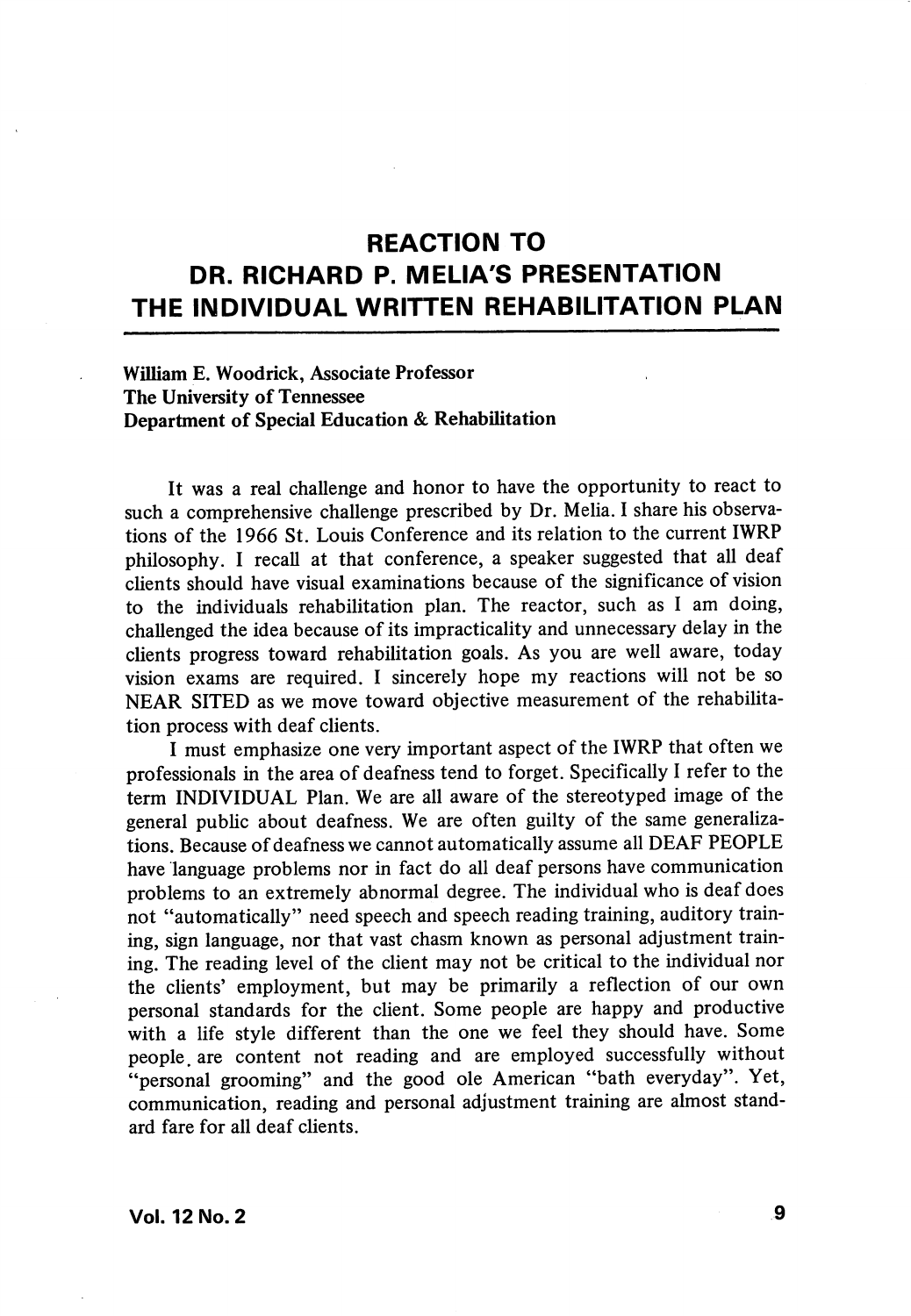## REACTION TO DR. RICHARD P. MELIA'S PRESENTATION THE INDIVIDUAL WRITTEN REHABILITATION PLAN

## William E. Woodrick, Associate Professor The University of Tennessee Department of Special Education & Rehabilitation

It was a real challenge and honor to have the opportunity to react to such a comprehensive challenge prescribed by Dr. Melia. I share his observa tions of the 1966 St. Louis Conference and its relation to the current IWRP philosophy. I recall at that conference, a speaker suggested that all deaf clients should have visual examinations because of the significance of vision to the individuals rehabilitation plan. The reactor, such as 1 am doing, challenged the idea because of its impracticality and unnecessary delay in the clients progress toward rehabilitation goals. As you are well aware, today vision exams are required. I sincerely hope my reactions will not be so NEAR SITED as we move toward objective measurement of the rehabilita tion process with deaf clients.

I must emphasize one very important aspect of the IWRP that often we professionals in the area of deafness tend to forget. Specifically 1 refer to the term INDIVIDUAL Plan. We are all aware of the stereotyped image of the general public about deafness. We are often guilty of the same generaliza tions. Because of deafness we cannot automatically assume all DEAF PEOPLE have language problems nor in fact do all deaf persons have communication problems to an extremely abnormal degree. The individual who is deaf does not "automatically" need speech and speech reading training, auditory train ing, sign language, nor that vast chasm known as personal adjustment train ing. The reading level of the client may not be critical to the individual nor the clients' employment, but may be primarily a reflection of our own personal standards for the client. Some people are happy and productive with a life style different than the one we feel they should have. Some people, are content not reading and are employed successfully without "personal grooming" and the good ole American "bath everyday". Yet, communication, reading and personal adjustment training are almost stand ard fare for all deaf clients.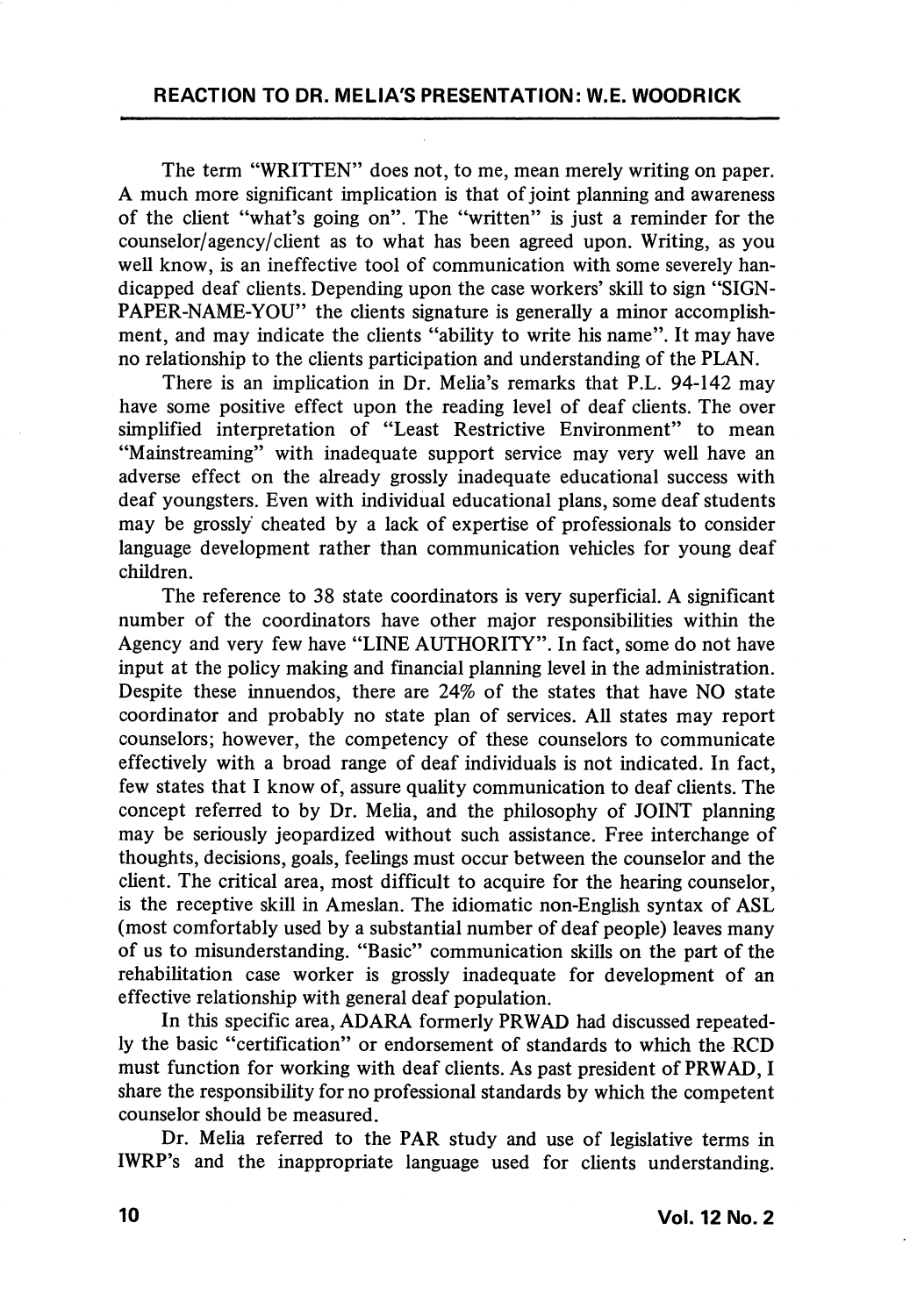The term "WRITTEN" does not, to me, mean merely writing on paper. A much more significant implication is that of joint planning and awareness of the client "what's going on". The "written" is just a reminder for the counselor/agency/chent as to what has been agreed upon. Writing, as you well know, is an ineffective tool of communication with some severely han dicapped deaf cUents. Depending upon the case workers' skill to sign "SIGN-PAPER-NAME-YOU" the clients signature is generally a minor accomplishment, and may indicate the clients "ability to write his name". It may have no relationship to the clients participation and understanding of the PLAN.

There is an implication in Dr. Melia's remarks that P.L. 94-142 may have some positive effect upon the reading level of deaf clients. The over simplified interpretation of "Least Restrictive Environment" to mean "Mainstreaming" with inadequate support service may very well have an adverse effect on the already grossly inadequate educational success with deaf youngsters. Even with individual educational plans, some deaf students may be grossly cheated by a lack of expertise of professionals to consider language development rather than communication vehicles for young deaf children.

The reference to 38 state coordinators is very superficial. A significant number of the coordinators have other major responsibilities within the Agency and very few have "LINE AUTHORITY". In fact, some do not have input at the policy making and financial planning level in the administration. Despite these innuendos, there are 24% of the states that have NO state coordinator and probably no state plan of services. All states may report counselors; however, the competency of these counselors to communicate effectively with a broad range of deaf individuals is not indicated. In fact, few states that I know of, assure quality communication to deaf clients. The concept referred to by Dr. Melia, and the philosophy of JOINT planning may be seriously jeopardized without such assistance. Free interchange of thoughts, decisions, goals, feelings must occur between the counselor and the client. The critical area, most difficult to acquire for the hearing counselor, is the receptive skill in Ameslan. The idiomatic non-English syntax of ASL (most comfortably used by a substantial number of deaf people) leaves many of us to misunderstanding. "Basic" communication skills on the part of the rehabilitation case worker is grossly inadequate for development of an effective relationship with general deaf population.

In this specific area, ADARA formerly PRWAD had discussed repeated ly the basic "certification" or endorsement of standards to which the RCD must function for working with deaf clients. As past president of PRWAD, I share the responsibility for no professional standards by which the competent counselor should be measured.

Dr. Melia referred to the PAR study and use of legislative terms in IWRP's and the inappropriate language used for clients understanding.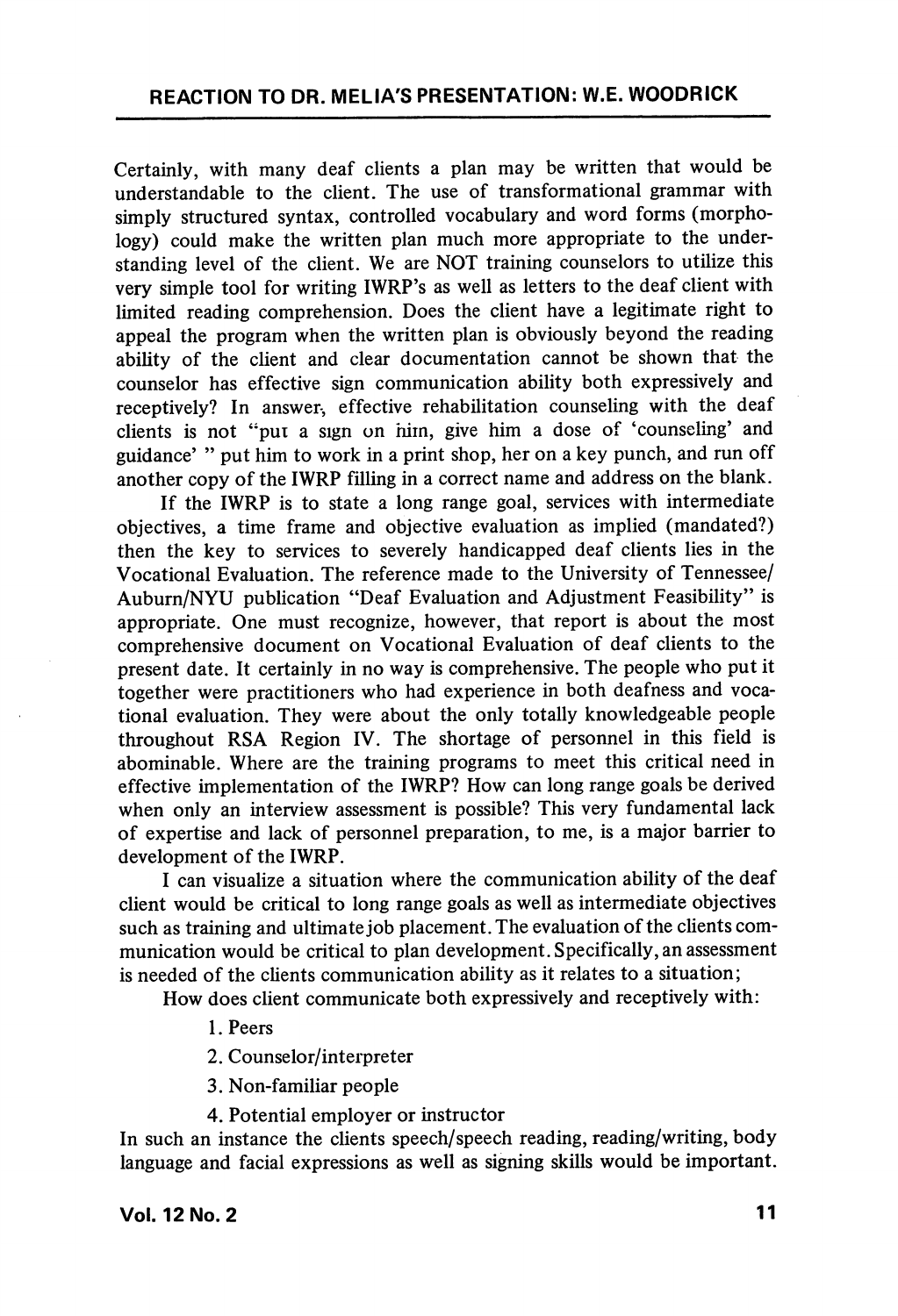Certainly, with many deaf clients a plan may be written that would be understandable to the client. The use of transformational grammar with simply structured syntax, controlled vocabulary and word forms (morpho logy) could make the written plan much more appropriate to the understanding level of the client. We are NOT training counselors to utilize this very simple tool for writing IWRP's as well as letters to the deaf client with limited reading comprehension. Does the client have a legitimate right to appeal the program when the written plan is obviously beyond the reading abihty of the client and clear documentation cannot be shown that the counselor has effective sign communication ability both expressively and receptively? In answer, effective rehabilitation counseling with the deaf clients is not "pui a sign on him, give him a dose of 'counseling' and guidance' " put him to work in a print shop, her on a key punch, and run off another copy of the IWRP filling in a correct name and address on the blank.

If the IWRP is to state a long range goal, services with intermediate objectives, a time frame and objective evaluation as implied (mandated?) then the key to services to severely handicapped deaf clients lies in the Vocational Evaluation. The reference made to the University of Tennessee/ Auburn/NYU publication "Deaf Evaluation and Adjustment Feasibility" is appropriate. One must recognize, however, that report is about the most comprehensive document on Vocational Evaluation of deaf clients to the present date. It certainly in no way is comprehensive. The people who put it together were practitioners who had experience in both deafness and voca tional evaluation. They were about the only totally knowledgeable people throughout RSA Region IV. The shortage of personnel in this field is abominable. Where are the training programs to meet this critical need in effective implementation of the IWRP? How can long range goals be derived when only an interview assessment is possible? This very fundamental lack of expertise and lack of personnel preparation, to me, is a major barrier to development of the IWRP.

I can visualize a situation where the communication ability of the deaf client would be critical to long range goals as well as intermediate objectives such as training and ultimate job placement. The evaluation of the clients com munication would be critical to plan development. Specifically, an assessment is needed of the clients communication ability as it relates to a situation;

How does client communicate both expressively and receptively with:

- 1. Peers
- 2. Counselor/interpreter
- 3. Non-familiar people
- 4. Potential employer or instructor

In such an instance the clients speech/speech reading, reading/writing, body language and facial expressions as well as signing skills would be important.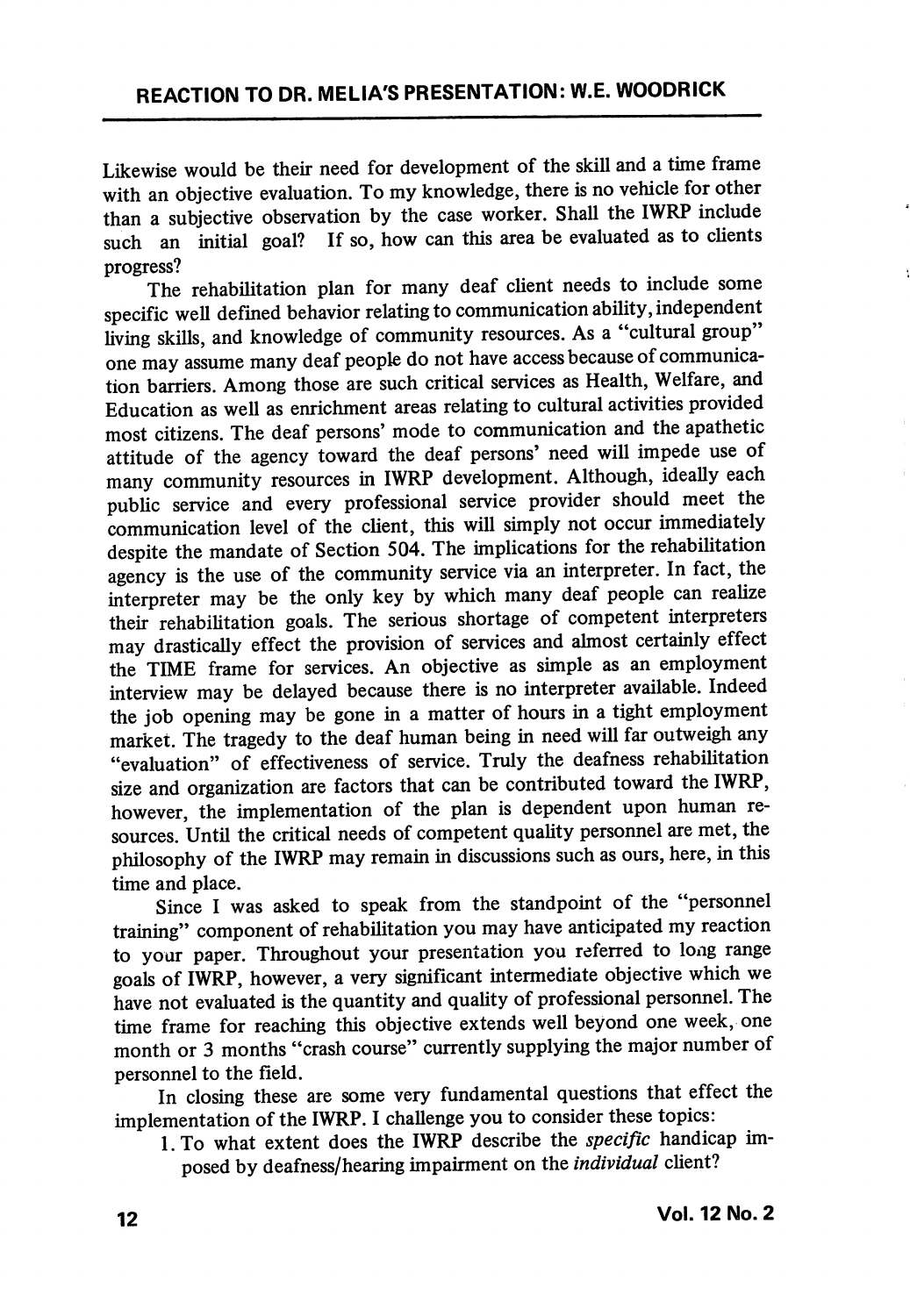Likewise would be their need for development of the skill and a time frame with an objective evaluation. To my knowledge, there is no vehicle for other than a subjective observation by the case worker. Shall the IWRP include such an initial goal? If so, how can this area be evaluated as to clients If so, how can this area be evaluated as to clients progress?

The rehabilitation plan for many deaf client needs to include some specific well defined behavior relating to communication ability, independent living skills, and knowledge of community resources. As a "cultural group" one may assume many deaf people do not have access because of communica tion barriers. Among those are such critical services as Health, Welfare, and Education as well as enrichment areas relating to cultural activities provided most citizens. The deaf persons' mode to communication and the apathetic attitude of the agency toward the deaf persons' need will impede use of many community resources in IWRP development. Although, ideally each public service and every professional service provider should meet the communication level of the client, this will simply not occur immediately despite the mandate of Section 504. The implications for the rehabilitation agency is the use of the community service via an interpreter. In fact, the interpreter may be the only key by which many deaf people can realize their rehabilitation goals. The serious shortage of competent interpreters may drastically effect the provision of services and almost certainly effect the TIME frame for services. An objective as simple as an employment interview may be delayed because there is no interpreter available. Indeed the job opening may be gone in a matter of hours in a tight employment market. The tragedy to the deaf human being in need will far outweigh any "evaluation" of effectiveness of service. Truly the deafness rehabilitation size and organization are factors that can be contributed toward the IWRP, however, the implementation of the plan is dependent upon human re sources. Until the critical needs of competent quality personnel are met, the philosophy of the IWRP may remain in discussions such as ours, here, in this time and place.

Since I was asked to speak from the standpoint of the "personnel training" component of rehabilitation you may have anticipated my reaction to your paper. Throughout your presentation you referred to long range goals of IWRP, however, a very significant intermediate objective which we have not evaluated is the quantity and quality of professional personnel. The time frame for reaching this objective extends well beyond one week, one month or 3 months "crash course" currently supplying the major number of personnel to the field.

In closing these are some very fundamental questions that effect the implementation of the IWRP. I challenge you to consider these topics:

l.To what extent does the IWRP describe the specific handicap im posed by deafness/hearing impairment on the individual client?